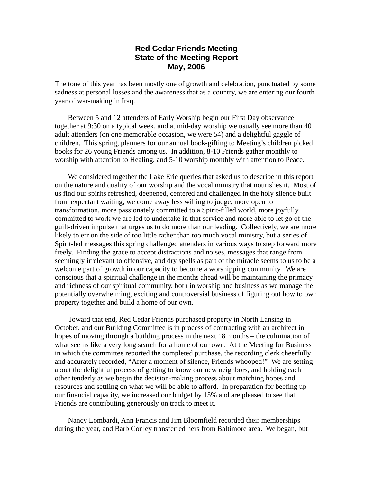## **Red Cedar Friends Meeting State of the Meeting Report May, 2006**

The tone of this year has been mostly one of growth and celebration, punctuated by some sadness at personal losses and the awareness that as a country, we are entering our fourth year of war-making in Iraq.

Between 5 and 12 attenders of Early Worship begin our First Day observance together at 9:30 on a typical week, and at mid-day worship we usually see more than 40 adult attenders (on one memorable occasion, we were 54) and a delightful gaggle of children. This spring, planners for our annual book-gifting to Meeting's children picked books for 26 young Friends among us. In addition, 8-10 Friends gather monthly to worship with attention to Healing, and 5-10 worship monthly with attention to Peace.

We considered together the Lake Erie queries that asked us to describe in this report on the nature and quality of our worship and the vocal ministry that nourishes it. Most of us find our spirits refreshed, deepened, centered and challenged in the holy silence built from expectant waiting; we come away less willing to judge, more open to transformation, more passionately committed to a Spirit-filled world, more joyfully committed to work we are led to undertake in that service and more able to let go of the guilt-driven impulse that urges us to do more than our leading. Collectively, we are more likely to err on the side of too little rather than too much vocal ministry, but a series of Spirit-led messages this spring challenged attenders in various ways to step forward more freely. Finding the grace to accept distractions and noises, messages that range from seemingly irrelevant to offensive, and dry spells as part of the miracle seems to us to be a welcome part of growth in our capacity to become a worshipping community. We are conscious that a spiritual challenge in the months ahead will be maintaining the primacy and richness of our spiritual community, both in worship and business as we manage the potentially overwhelming, exciting and controversial business of figuring out how to own property together and build a home of our own.

Toward that end, Red Cedar Friends purchased property in North Lansing in October, and our Building Committee is in process of contracting with an architect in hopes of moving through a building process in the next 18 months – the culmination of what seems like a very long search for a home of our own. At the Meeting for Business in which the committee reported the completed purchase, the recording clerk cheerfully and accurately recorded, "After a moment of silence, Friends whooped!" We are setting about the delightful process of getting to know our new neighbors, and holding each other tenderly as we begin the decision-making process about matching hopes and resources and settling on what we will be able to afford. In preparation for beefing up our financial capacity, we increased our budget by 15% and are pleased to see that Friends are contributing generously on track to meet it.

Nancy Lombardi, Ann Francis and Jim Bloomfield recorded their memberships during the year, and Barb Conley transferred hers from Baltimore area. We began, but